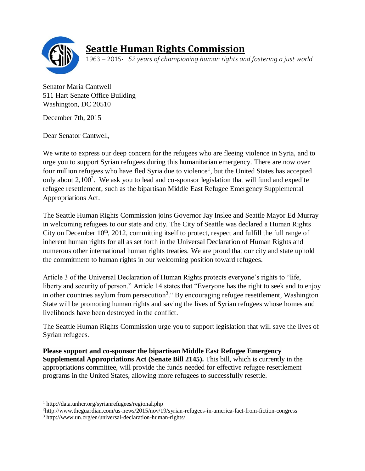

## **Seattle Human Rights Commission**

1963 – 2015· *52 years of championing human rights and fostering a just world*

Senator Maria Cantwell 511 Hart Senate Office Building Washington, DC 20510

December 7th, 2015

Dear Senator Cantwell,

We write to express our deep concern for the refugees who are fleeing violence in Syria, and to urge you to support Syrian refugees during this humanitarian emergency. There are now over four million refugees who have fled Syria due to violence<sup>1</sup>, but the United States has accepted only about  $2,100^2$ . We ask you to lead and co-sponsor legislation that will fund and expedite refugee resettlement, such as the bipartisan Middle East Refugee Emergency Supplemental Appropriations Act.

The Seattle Human Rights Commission joins Governor Jay Inslee and Seattle Mayor Ed Murray in welcoming refugees to our state and city. The City of Seattle was declared a Human Rights City on December  $10<sup>th</sup>$ , 2012, committing itself to protect, respect and fulfill the full range of inherent human rights for all as set forth in the Universal Declaration of Human Rights and numerous other international human rights treaties. We are proud that our city and state uphold the commitment to human rights in our welcoming position toward refugees.

Article 3 of the Universal Declaration of Human Rights protects everyone's rights to "life, liberty and security of person." Article 14 states that "Everyone has the right to seek and to enjoy in other countries asylum from persecution<sup>3</sup>." By encouraging refugee resettlement, Washington State will be promoting human rights and saving the lives of Syrian refugees whose homes and livelihoods have been destroyed in the conflict.

The Seattle Human Rights Commission urge you to support legislation that will save the lives of Syrian refugees.

**Please support and co-sponsor the bipartisan Middle East Refugee Emergency Supplemental Appropriations Act (Senate Bill 2145).** This bill, which is currently in the appropriations committee, will provide the funds needed for effective refugee resettlement programs in the United States, allowing more refugees to successfully resettle.

 $\overline{\phantom{a}}$ 

<sup>1</sup> http://data.unhcr.org/syrianrefugees/regional.php

<sup>2</sup>http://www.theguardian.com/us-news/2015/nov/19/syrian-refugees-in-america-fact-from-fiction-congress

<sup>3</sup> http://www.un.org/en/universal-declaration-human-rights/